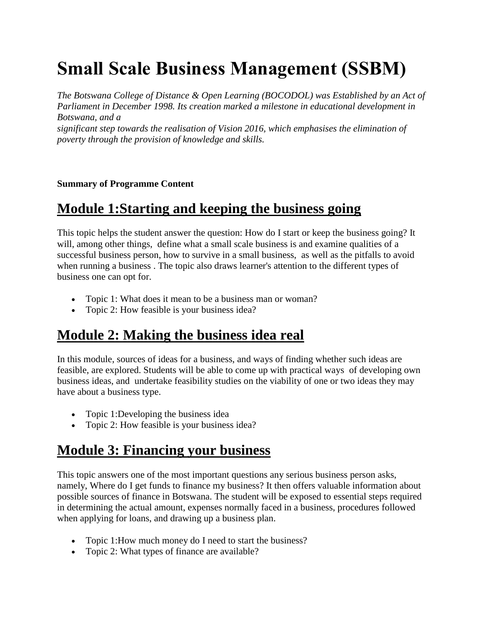# **Small Scale Business Management (SSBM)**

*The Botswana College of Distance & Open Learning (BOCODOL) was Established by an Act of Parliament in December 1998. Its creation marked a milestone in educational development in Botswana, and a significant step towards the realisation of Vision 2016, which emphasises the elimination of poverty through the provision of knowledge and skills.*

#### **Summary of Programme Content**

#### **Module 1:Starting and keeping the business going**

This topic helps the student answer the question: How do I start or keep the business going? It will, among other things, define what a small scale business is and examine qualities of a successful business person, how to survive in a small business, as well as the pitfalls to avoid when running a business . The topic also draws learner's attention to the different types of business one can opt for.

- Topic 1: What does it mean to be a business man or woman?
- Topic 2: How feasible is your business idea?

#### **Module 2: Making the business idea real**

In this module, sources of ideas for a business, and ways of finding whether such ideas are feasible, are explored. Students will be able to come up with practical ways of developing own business ideas, and undertake feasibility studies on the viability of one or two ideas they may have about a business type.

- Topic 1:Developing the business idea
- Topic 2: How feasible is your business idea?

#### **Module 3: Financing your business**

This topic answers one of the most important questions any serious business person asks, namely, Where do I get funds to finance my business? It then offers valuable information about possible sources of finance in Botswana. The student will be exposed to essential steps required in determining the actual amount, expenses normally faced in a business, procedures followed when applying for loans, and drawing up a business plan.

- Topic 1: How much money do I need to start the business?
- Topic 2: What types of finance are available?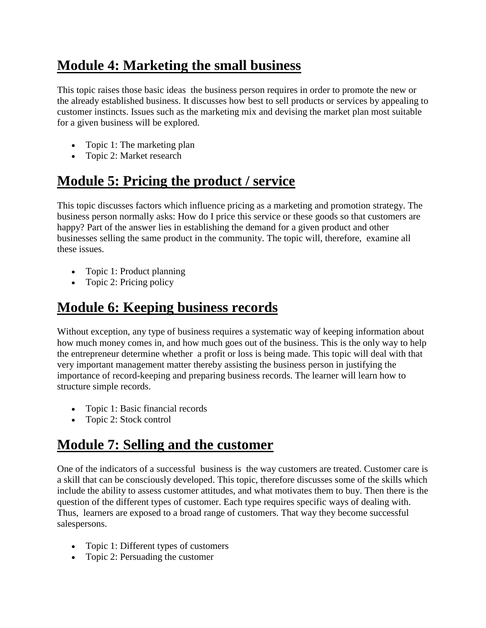# **Module 4: Marketing the small business**

This topic raises those basic ideas the business person requires in order to promote the new or the already established business. It discusses how best to sell products or services by appealing to customer instincts. Issues such as the marketing mix and devising the market plan most suitable for a given business will be explored.

- Topic 1: The marketing plan
- Topic 2: Market research

# **Module 5: Pricing the product / service**

This topic discusses factors which influence pricing as a marketing and promotion strategy. The business person normally asks: How do I price this service or these goods so that customers are happy? Part of the answer lies in establishing the demand for a given product and other businesses selling the same product in the community. The topic will, therefore, examine all these issues.

- Topic 1: Product planning
- Topic 2: Pricing policy

# **Module 6: Keeping business records**

Without exception, any type of business requires a systematic way of keeping information about how much money comes in, and how much goes out of the business. This is the only way to help the entrepreneur determine whether a profit or loss is being made. This topic will deal with that very important management matter thereby assisting the business person in justifying the importance of record-keeping and preparing business records. The learner will learn how to structure simple records.

- Topic 1: Basic financial records
- Topic 2: Stock control

# **Module 7: Selling and the customer**

One of the indicators of a successful business is the way customers are treated. Customer care is a skill that can be consciously developed. This topic, therefore discusses some of the skills which include the ability to assess customer attitudes, and what motivates them to buy. Then there is the question of the different types of customer. Each type requires specific ways of dealing with. Thus, learners are exposed to a broad range of customers. That way they become successful salespersons.

- Topic 1: Different types of customers
- Topic 2: Persuading the customer